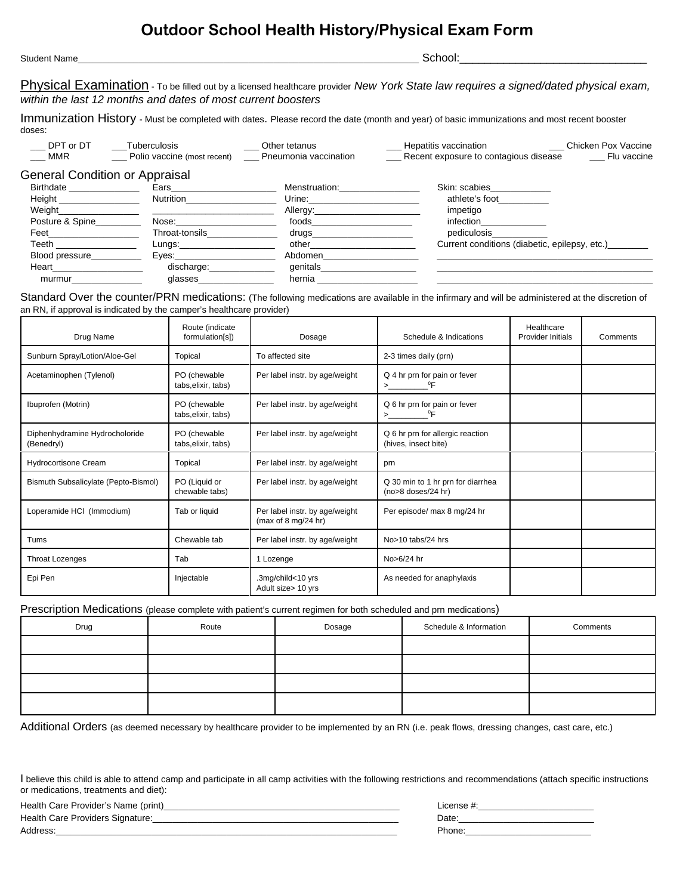## **Outdoor School Health History/Physical Exam Form**

| Student | --   |
|---------|------|
| . Name  | וחחר |
|         |      |

Physical Examination - To be filled out by a licensed healthcare provider *New York State law requires a signed/dated physical exam, within the last 12 months and dates of most current boosters*

Immunization History - Must be completed with dates. Please record the date (month and year) of basic immunizations and most recent booster doses:

| DPT or DT                                                                                                                                                                                                                            | Tuberculosis                                                                                                                                                                                                                        | Other tetanus                                                                                                                                                                                                                  | Chicken Pox Vaccine<br>Hepatitis vaccination                                                                   |
|--------------------------------------------------------------------------------------------------------------------------------------------------------------------------------------------------------------------------------------|-------------------------------------------------------------------------------------------------------------------------------------------------------------------------------------------------------------------------------------|--------------------------------------------------------------------------------------------------------------------------------------------------------------------------------------------------------------------------------|----------------------------------------------------------------------------------------------------------------|
| MMR                                                                                                                                                                                                                                  | Polio vaccine (most recent)                                                                                                                                                                                                         | Pneumonia vaccination                                                                                                                                                                                                          | Recent exposure to contagious disease<br>Flu vaccine                                                           |
| <b>General Condition or Appraisal</b>                                                                                                                                                                                                |                                                                                                                                                                                                                                     |                                                                                                                                                                                                                                |                                                                                                                |
| Birthdate ________________                                                                                                                                                                                                           | Ears in the search of the search of the search of the search of the search of the search of the search of the                                                                                                                       | Menstruation: Website the Menstruation                                                                                                                                                                                         | Skin: scabies and state of the state of the state of the state of the state of the state of the state of the s |
| Height __________________                                                                                                                                                                                                            | Nutrition                                                                                                                                                                                                                           | Urine: _______________                                                                                                                                                                                                         | athlete's foot                                                                                                 |
|                                                                                                                                                                                                                                      | Weight <b>Exercise Services</b> and the service of the service of the series of the series of the series of the series of the series of the series of the series of the series of the series of the series of the series of the ser | Allergy: Allergy:                                                                                                                                                                                                              | impetigo                                                                                                       |
| Posture & Spine                                                                                                                                                                                                                      | Nose: when the contract of the contract of the contract of the contract of the contract of the contract of the                                                                                                                      | foods                                                                                                                                                                                                                          | <i>infection</i>                                                                                               |
| Feet <b>Francisco</b> Products and the set of the set of the set of the set of the set of the set of the set of the set of the set of the set of the set of the set of the set of the set of the set of the set of the set of the s  | Throat-tonsils                                                                                                                                                                                                                      | drugs and the control of the control of the control of the control of the control of the control of the control of the control of the control of the control of the control of the control of the control of the control of th | pediculosis                                                                                                    |
| Teeth <b>the contract of the contract of the contract of the contract of the contract of the contract of the contract of the contract of the contract of the contract of the contract of the contract of the contract of the con</b> | Lungs:                                                                                                                                                                                                                              | other the contract of the contract of the contract of the contract of the contract of the contract of the contract of the contract of the contract of the contract of the contract of the contract of the contract of the cont | Current conditions (diabetic, epilepsy, etc.)                                                                  |
| Blood pressure                                                                                                                                                                                                                       | Eves: <b>Exercise Exercise</b>                                                                                                                                                                                                      | Abdomen                                                                                                                                                                                                                        |                                                                                                                |
| Heart <b>Exercise Service Service</b>                                                                                                                                                                                                | discharge:                                                                                                                                                                                                                          | genitals                                                                                                                                                                                                                       |                                                                                                                |

Standard Over the counter/PRN medications: (The following medications are available in the infirmary and will be administered at the discretion of an RN, if approval is indicated by the camper's healthcare provider)

murmur\_\_\_\_\_\_\_\_\_\_\_\_\_\_ glasses\_\_\_\_\_\_\_\_\_\_\_\_\_\_\_ hernia \_\_\_\_\_\_\_\_\_\_\_\_\_\_\_\_\_\_\_\_ \_\_\_\_\_\_\_\_\_\_\_\_\_\_\_\_\_\_\_\_\_\_\_\_\_\_\_\_\_\_\_\_\_\_\_\_\_\_\_\_\_\_\_

| Drug Name                                                                                                      | Route (indicate<br>formulation[s])  | Dosage                                                                   | Schedule & Indications                                   | Healthcare<br><b>Provider Initials</b> | Comments |
|----------------------------------------------------------------------------------------------------------------|-------------------------------------|--------------------------------------------------------------------------|----------------------------------------------------------|----------------------------------------|----------|
| Sunburn Spray/Lotion/Aloe-Gel                                                                                  | Topical                             | To affected site                                                         | 2-3 times daily (prn)                                    |                                        |          |
| PO (chewable<br>Per label instr. by age/weight<br>Acetaminophen (Tylenol)<br>tabs, elixir, tabs)<br>$>$ $\sim$ |                                     | Q 4 hr prn for pain or fever<br>$^0$ F                                   |                                                          |                                        |          |
| Ibuprofen (Motrin)                                                                                             | PO (chewable<br>tabs, elixir, tabs) | Per label instr. by age/weight                                           | Q 6 hr prn for pain or fever<br>$^0$ F<br>$>$ $\sim$     |                                        |          |
| Diphenhydramine Hydrocholoride<br>(Benedryl)                                                                   | PO (chewable<br>tabs, elixir, tabs) | Per label instr. by age/weight                                           | Q 6 hr prn for allergic reaction<br>(hives, insect bite) |                                        |          |
| Hydrocortisone Cream                                                                                           | Topical                             | Per label instr. by age/weight                                           | prn                                                      |                                        |          |
| Bismuth Subsalicylate (Pepto-Bismol)                                                                           | PO (Liquid or<br>chewable tabs)     | Per label instr. by age/weight                                           | Q 30 min to 1 hr prn for diarrhea<br>(no>8 doses/24 hr)  |                                        |          |
| Loperamide HCI (Immodium)                                                                                      | Tab or liquid                       | Per label instr. by age/weight<br>(max of $8 \text{ mg}/24 \text{ hr}$ ) | Per episode/ max 8 mg/24 hr                              |                                        |          |
| Tums                                                                                                           | Chewable tab                        | Per label instr. by age/weight                                           | No>10 tabs/24 hrs                                        |                                        |          |
| <b>Throat Lozenges</b>                                                                                         | Tab                                 | 1 Lozenge                                                                | No>6/24 hr                                               |                                        |          |
| Epi Pen                                                                                                        | Injectable                          | .3mg/child<10 yrs<br>Adult size> 10 yrs                                  | As needed for anaphylaxis                                |                                        |          |

Prescription Medications (please complete with patient's current regimen for both scheduled and prn medications)

| Drug | Route | Dosage | Schedule & Information | Comments |
|------|-------|--------|------------------------|----------|
|      |       |        |                        |          |
|      |       |        |                        |          |
|      |       |        |                        |          |
|      |       |        |                        |          |

Additional Orders (as deemed necessary by healthcare provider to be implemented by an RN (i.e. peak flows, dressing changes, cast care, etc.)

I believe this child is able to attend camp and participate in all camp activities with the following restrictions and recommendations (attach specific instructions or medications, treatments and diet):

| Health Care Provider's Name (print) | ∟ıcense # |
|-------------------------------------|-----------|
| Health Care Providers Signature:    | Date      |
| Address:                            | Phone:    |